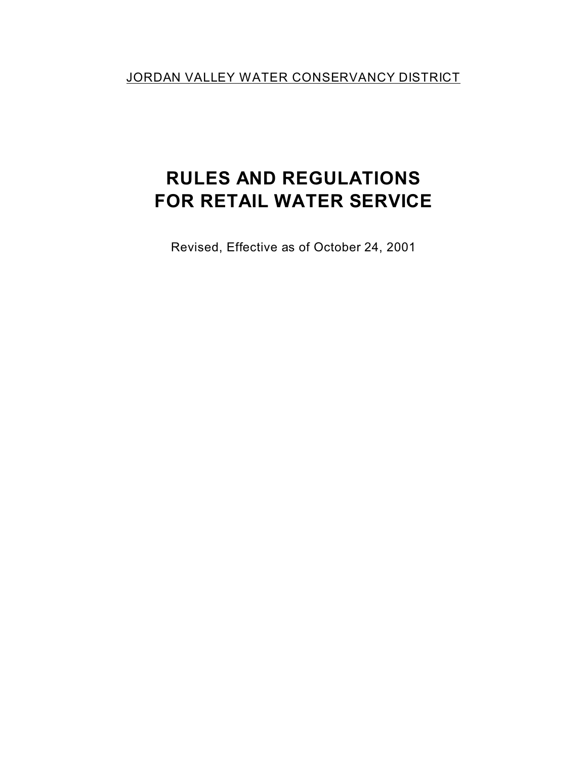JORDAN VALLEY WATER CONSERVANCY DISTRICT

# **RULES AND REGULATIONS FOR RETAIL WATER SERVICE**

Revised, Effective as of October 24, 2001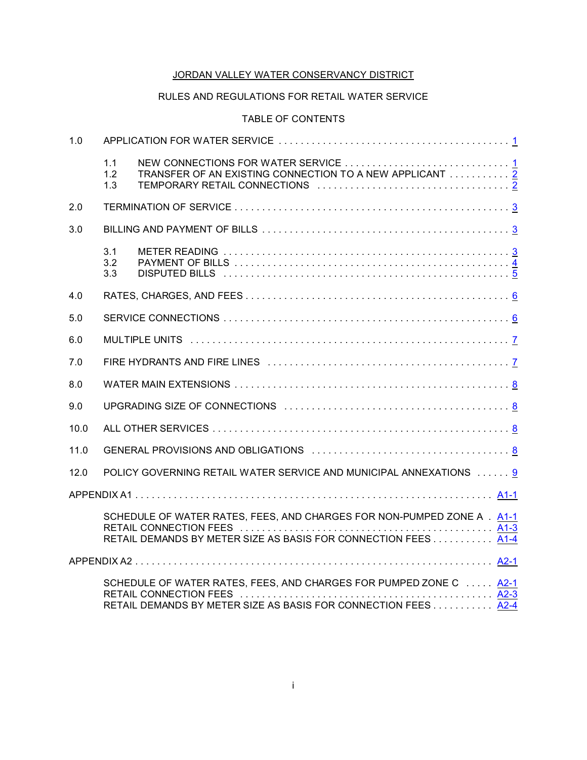# JORDAN VALLEY WATER CONSERVANCY DISTRICT

# RULES AND REGULATIONS FOR RETAIL WATER SERVICE

# TABLE OF CONTENTS

| 1.0  |                   |                                                                                                                                           |  |  |
|------|-------------------|-------------------------------------------------------------------------------------------------------------------------------------------|--|--|
|      | 1.1<br>1.2<br>1.3 | TRANSFER OF AN EXISTING CONNECTION TO A NEW APPLICANT <u>2</u>                                                                            |  |  |
| 2.0  |                   |                                                                                                                                           |  |  |
| 3.0  |                   |                                                                                                                                           |  |  |
|      | 3.1<br>3.2<br>3.3 |                                                                                                                                           |  |  |
| 4.0  |                   |                                                                                                                                           |  |  |
| 5.0  |                   |                                                                                                                                           |  |  |
| 6.0  |                   |                                                                                                                                           |  |  |
| 7.0  |                   |                                                                                                                                           |  |  |
| 8.0  |                   |                                                                                                                                           |  |  |
| 9.0  |                   |                                                                                                                                           |  |  |
| 10.0 |                   |                                                                                                                                           |  |  |
| 11.0 |                   |                                                                                                                                           |  |  |
| 12.0 |                   | POLICY GOVERNING RETAIL WATER SERVICE AND MUNICIPAL ANNEXATIONS  9                                                                        |  |  |
|      |                   |                                                                                                                                           |  |  |
|      |                   | SCHEDULE OF WATER RATES, FEES, AND CHARGES FOR NON-PUMPED ZONE A . A1-1<br>RETAIL DEMANDS BY METER SIZE AS BASIS FOR CONNECTION FEES 41-4 |  |  |
|      |                   |                                                                                                                                           |  |  |
|      |                   | SCHEDULE OF WATER RATES, FEES, AND CHARGES FOR PUMPED ZONE C  A2-1<br>RETAIL DEMANDS BY METER SIZE AS BASIS FOR CONNECTION FEES 42-4      |  |  |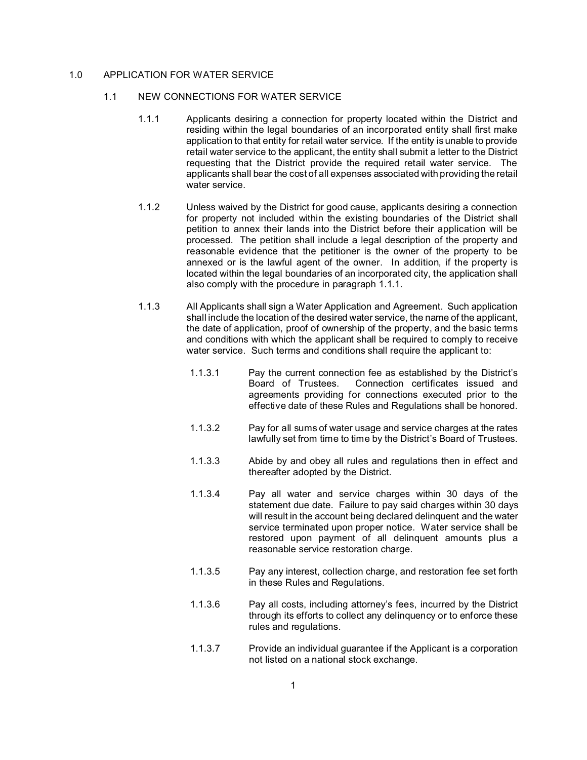## 1.0 APPLICATION FOR WATER SERVICE

#### 1.1 NEW CONNECTIONS FOR WATER SERVICE

- 1.1.1 Applicants desiring a connection for property located within the District and residing within the legal boundaries of an incorporated entity shall first make application to that entity for retail water service. If the entity is unable to provide retail water service to the applicant, the entity shall submit a letter to the District requesting that the District provide the required retail water service. The applicants shall bear the cost of all expenses associated with providing the retail water service.
- 1.1.2 Unless waived by the District for good cause, applicants desiring a connection for property not included within the existing boundaries of the District shall petition to annex their lands into the District before their application will be processed. The petition shall include a legal description of the property and reasonable evidence that the petitioner is the owner of the property to be annexed or is the lawful agent of the owner. In addition, if the property is located within the legal boundaries of an incorporated city, the application shall also comply with the procedure in paragraph 1.1.1.
- 1.1.3 All Applicants shall sign a Water Application and Agreement. Such application shall include the location of the desired water service, the name of the applicant, the date of application, proof of ownership of the property, and the basic terms and conditions with which the applicant shall be required to comply to receive water service. Such terms and conditions shall require the applicant to:
	- 1.1.3.1 Pay the current connection fee as established by the District's Board of Trustees. Connection certificates issued and agreements providing for connections executed prior to the effective date of these Rules and Regulations shall be honored.
	- 1.1.3.2 Pay for all sums of water usage and service charges at the rates lawfully set from time to time by the District's Board of Trustees.
	- 1.1.3.3 Abide by and obey all rules and regulations then in effect and thereafter adopted by the District.
	- 1.1.3.4 Pay all water and service charges within 30 days of the statement due date. Failure to pay said charges within 30 days will result in the account being declared delinquent and the water service terminated upon proper notice. Water service shall be restored upon payment of all delinquent amounts plus a reasonable service restoration charge.
	- 1.1.3.5 Pay any interest, collection charge, and restoration fee set forth in these Rules and Regulations.
	- 1.1.3.6 Pay all costs, including attorney's fees, incurred by the District through its efforts to collect any delinquency or to enforce these rules and regulations.
	- 1.1.3.7 Provide an individual guarantee if the Applicant is a corporation not listed on a national stock exchange.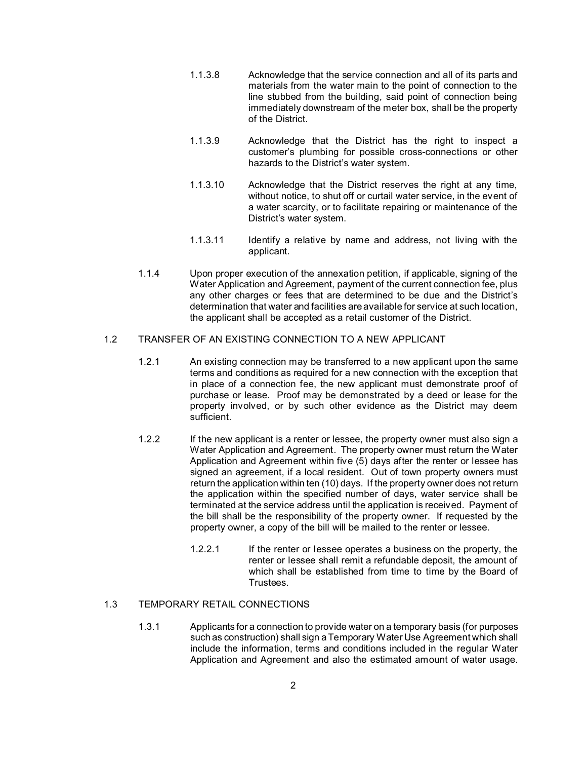- 1.1.3.8 Acknowledge that the service connection and all of its parts and materials from the water main to the point of connection to the line stubbed from the building, said point of connection being immediately downstream of the meter box, shall be the property of the District.
- 1.1.3.9 Acknowledge that the District has the right to inspect a customer's plumbing for possible cross-connections or other hazards to the District's water system.
- 1.1.3.10 Acknowledge that the District reserves the right at any time, without notice, to shut off or curtail water service, in the event of a water scarcity, or to facilitate repairing or maintenance of the District's water system.
- 1.1.3.11 Identify a relative by name and address, not living with the applicant.
- 1.1.4 Upon proper execution of the annexation petition, if applicable, signing of the Water Application and Agreement, payment of the current connection fee, plus any other charges or fees that are determined to be due and the District's determination that water and facilities are available for service at such location, the applicant shall be accepted as a retail customer of the District.

## 1.2 TRANSFER OF AN EXISTING CONNECTION TO A NEW APPLICANT

- 1.2.1 An existing connection may be transferred to a new applicant upon the same terms and conditions as required for a new connection with the exception that in place of a connection fee, the new applicant must demonstrate proof of purchase or lease. Proof may be demonstrated by a deed or lease for the property involved, or by such other evidence as the District may deem sufficient.
- 1.2.2 If the new applicant is a renter or lessee, the property owner must also sign a Water Application and Agreement. The property owner must return the Water Application and Agreement within five (5) days after the renter or lessee has signed an agreement, if a local resident. Out of town property owners must return the application within ten (10) days. If the property owner does not return the application within the specified number of days, water service shall be terminated at the service address until the application is received. Payment of the bill shall be the responsibility of the property owner. If requested by the property owner, a copy of the bill will be mailed to the renter or lessee.
	- 1.2.2.1 If the renter or lessee operates a business on the property, the renter or lessee shall remit a refundable deposit, the amount of which shall be established from time to time by the Board of Trustees.

## 1.3 TEMPORARY RETAIL CONNECTIONS

1.3.1 Applicants for a connection to provide water on a temporary basis (for purposes such as construction) shall sign a Temporary Water Use Agreement which shall include the information, terms and conditions included in the regular Water Application and Agreement and also the estimated amount of water usage.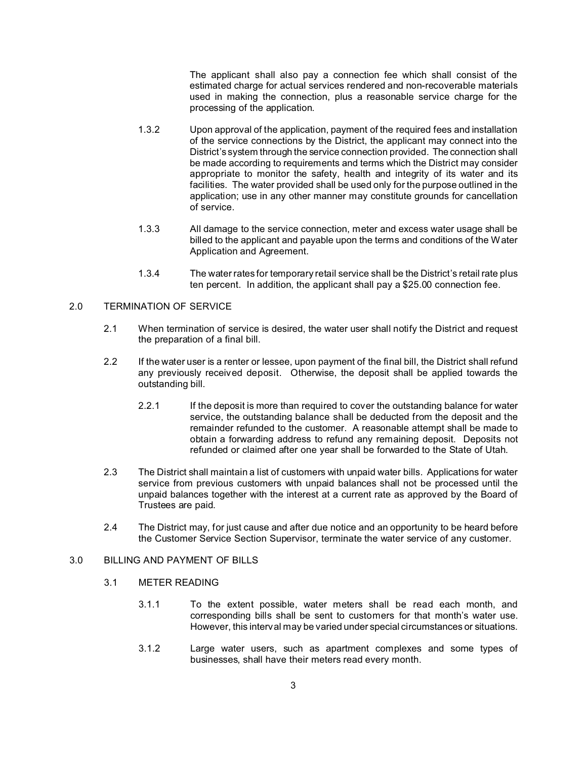The applicant shall also pay a connection fee which shall consist of the estimated charge for actual services rendered and non-recoverable materials used in making the connection, plus a reasonable service charge for the processing of the application.

- 1.3.2 Upon approval of the application, payment of the required fees and installation of the service connections by the District, the applicant may connect into the District's system through the service connection provided. The connection shall be made according to requirements and terms which the District may consider appropriate to monitor the safety, health and integrity of its water and its facilities. The water provided shall be used only for the purpose outlined in the application; use in any other manner may constitute grounds for cancellation of service.
- 1.3.3 All damage to the service connection, meter and excess water usage shall be billed to the applicant and payable upon the terms and conditions of the Water Application and Agreement.
- 1.3.4 The water rates for temporary retail service shall be the District's retail rate plus ten percent. In addition, the applicant shall pay a \$25.00 connection fee.

## 2.0 TERMINATION OF SERVICE

- 2.1 When termination of service is desired, the water user shall notify the District and request the preparation of a final bill.
- 2.2 If the water user is a renter or lessee, upon payment of the final bill, the District shall refund any previously received deposit. Otherwise, the deposit shall be applied towards the outstanding bill.
	- 2.2.1 If the deposit is more than required to cover the outstanding balance for water service, the outstanding balance shall be deducted from the deposit and the remainder refunded to the customer. A reasonable attempt shall be made to obtain a forwarding address to refund any remaining deposit. Deposits not refunded or claimed after one year shall be forwarded to the State of Utah.
- 2.3 The District shall maintain a list of customers with unpaid water bills. Applications for water service from previous customers with unpaid balances shall not be processed until the unpaid balances together with the interest at a current rate as approved by the Board of Trustees are paid.
- 2.4 The District may, for just cause and after due notice and an opportunity to be heard before the Customer Service Section Supervisor, terminate the water service of any customer.

### 3.0 BILLING AND PAYMENT OF BILLS

- 3.1 METER READING
	- 3.1.1 To the extent possible, water meters shall be read each month, and corresponding bills shall be sent to customers for that month's water use. However, this interval may be varied under special circumstances or situations.
	- 3.1.2 Large water users, such as apartment complexes and some types of businesses, shall have their meters read every month.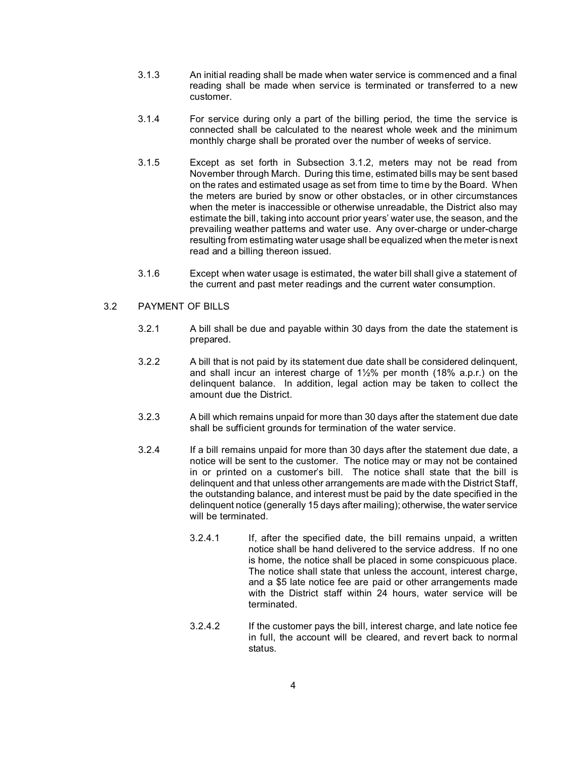- 3.1.3 An initial reading shall be made when water service is commenced and a final reading shall be made when service is terminated or transferred to a new customer.
- 3.1.4 For service during only a part of the billing period, the time the service is connected shall be calculated to the nearest whole week and the minimum monthly charge shall be prorated over the number of weeks of service.
- 3.1.5 Except as set forth in Subsection 3.1.2, meters may not be read from November through March. During this time, estimated bills may be sent based on the rates and estimated usage as set from time to time by the Board. When the meters are buried by snow or other obstacles, or in other circumstances when the meter is inaccessible or otherwise unreadable, the District also may estimate the bill, taking into account prior years' water use, the season, and the prevailing weather patterns and water use. Any over-charge or under-charge resulting from estimating water usage shall be equalized when the meter is next read and a billing thereon issued.
- 3.1.6 Except when water usage is estimated, the water bill shall give a statement of the current and past meter readings and the current water consumption.

## 3.2 PAYMENT OF BILLS

- 3.2.1 A bill shall be due and payable within 30 days from the date the statement is prepared.
- 3.2.2 A bill that is not paid by its statement due date shall be considered delinquent, and shall incur an interest charge of  $1\frac{1}{2}\%$  per month (18% a.p.r.) on the delinquent balance. In addition, legal action may be taken to collect the amount due the District.
- 3.2.3 A bill which remains unpaid for more than 30 days after the statement due date shall be sufficient grounds for termination of the water service.
- 3.2.4 If a bill remains unpaid for more than 30 days after the statement due date, a notice will be sent to the customer. The notice may or may not be contained in or printed on a customer's bill. The notice shall state that the bill is delinquent and that unless other arrangements are made with the District Staff, the outstanding balance, and interest must be paid by the date specified in the delinquent notice (generally 15 days after mailing); otherwise, the water service will be terminated.
	- 3.2.4.1 If, after the specified date, the bill remains unpaid, a written notice shall be hand delivered to the service address. If no one is home, the notice shall be placed in some conspicuous place. The notice shall state that unless the account, interest charge, and a \$5 late notice fee are paid or other arrangements made with the District staff within 24 hours, water service will be terminated.
	- 3.2.4.2 If the customer pays the bill, interest charge, and late notice fee in full, the account will be cleared, and revert back to normal status.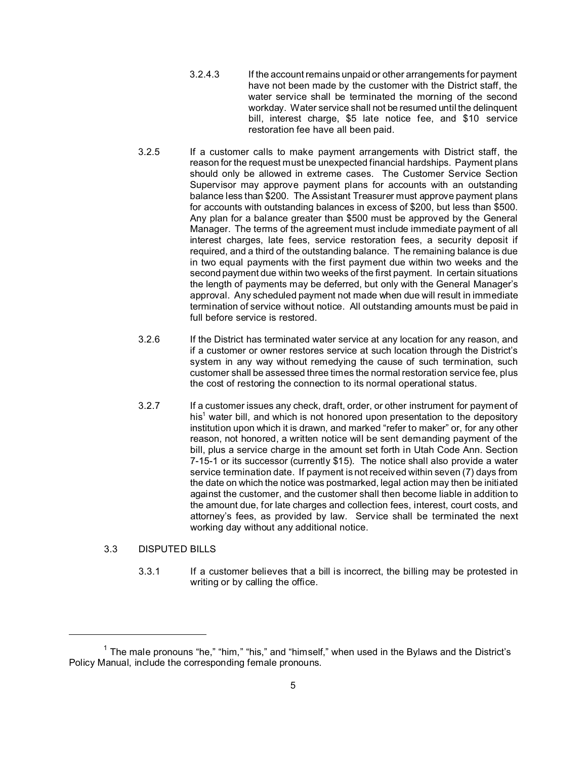- 3.2.4.3 If the account remains unpaid or other arrangements for payment have not been made by the customer with the District staff, the water service shall be terminated the morning of the second workday. Water service shall not be resumed until the delinquent bill, interest charge, \$5 late notice fee, and \$10 service restoration fee have all been paid.
- 3.2.5 If a customer calls to make payment arrangements with District staff, the reason for the request must be unexpected financial hardships. Payment plans should only be allowed in extreme cases. The Customer Service Section Supervisor may approve payment plans for accounts with an outstanding balance less than \$200. The Assistant Treasurer must approve payment plans for accounts with outstanding balances in excess of \$200, but less than \$500. Any plan for a balance greater than \$500 must be approved by the General Manager. The terms of the agreement must include immediate payment of all interest charges, late fees, service restoration fees, a security deposit if required, and a third of the outstanding balance. The remaining balance is due in two equal payments with the first payment due within two weeks and the second payment due within two weeks of the first payment. In certain situations the length of payments may be deferred, but only with the General Manager's approval. Any scheduled payment not made when due will result in immediate termination of service without notice. All outstanding amounts must be paid in full before service is restored.
- 3.2.6 If the District has terminated water service at any location for any reason, and if a customer or owner restores service at such location through the District's system in any way without remedying the cause of such termination, such customer shall be assessed three times the normal restoration service fee, plus the cost of restoring the connection to its normal operational status.
- 3.2.7 If a customer issues any check, draft, order, or other instrument for payment of his<sup>1</sup> water bill, and which is not honored upon presentation to the depository institution upon which it is drawn, and marked "refer to maker" or, for any other reason, not honored, a written notice will be sent demanding payment of the bill, plus a service charge in the amount set forth in Utah Code Ann. Section 7-15-1 or its successor (currently \$15). The notice shall also provide a water service termination date. If payment is not received within seven (7) days from the date on which the notice was postmarked, legal action may then be initiated against the customer, and the customer shall then become liable in addition to the amount due, for late charges and collection fees, interest, court costs, and attorney's fees, as provided by law. Service shall be terminated the next working day without any additional notice.

# 3.3 DISPUTED BILLS

3.3.1 If a customer believes that a bill is incorrect, the billing may be protested in writing or by calling the office.

 $^1$  The male pronouns "he," "him," "his," and "himself," when used in the Bylaws and the District's Policy Manual, include the corresponding female pronouns.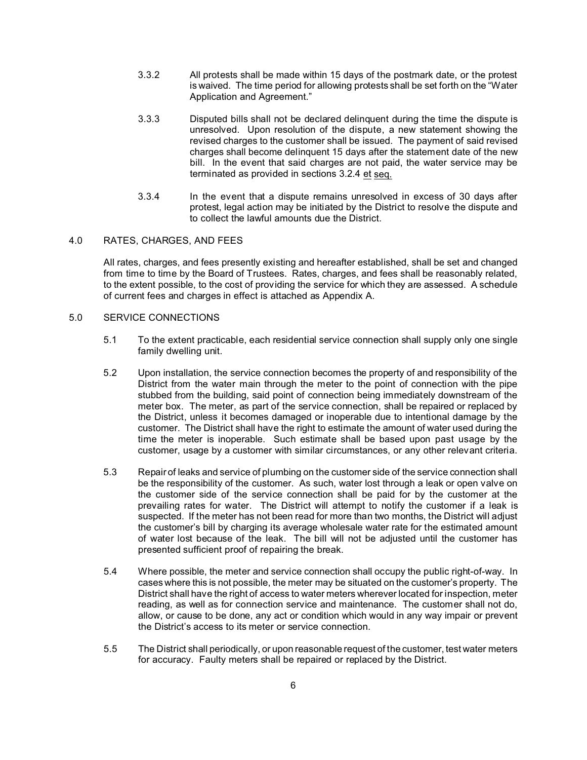- 3.3.2 All protests shall be made within 15 days of the postmark date, or the protest is waived. The time period for allowing protests shall be set forth on the "Water Application and Agreement."
- 3.3.3 Disputed bills shall not be declared delinquent during the time the dispute is unresolved. Upon resolution of the dispute, a new statement showing the revised charges to the customer shall be issued. The payment of said revised charges shall become delinquent 15 days after the statement date of the new bill. In the event that said charges are not paid, the water service may be terminated as provided in sections 3.2.4 et seq.
- 3.3.4 In the event that a dispute remains unresolved in excess of 30 days after protest, legal action may be initiated by the District to resolve the dispute and to collect the lawful amounts due the District.

#### 4.0 RATES, CHARGES, AND FEES

All rates, charges, and fees presently existing and hereafter established, shall be set and changed from time to time by the Board of Trustees. Rates, charges, and fees shall be reasonably related, to the extent possible, to the cost of providing the service for which they are assessed. A schedule of current fees and charges in effect is attached as Appendix A.

## 5.0 SERVICE CONNECTIONS

- 5.1 To the extent practicable, each residential service connection shall supply only one single family dwelling unit.
- 5.2 Upon installation, the service connection becomes the property of and responsibility of the District from the water main through the meter to the point of connection with the pipe stubbed from the building, said point of connection being immediately downstream of the meter box. The meter, as part of the service connection, shall be repaired or replaced by the District, unless it becomes damaged or inoperable due to intentional damage by the customer. The District shall have the right to estimate the amount of water used during the time the meter is inoperable. Such estimate shall be based upon past usage by the customer, usage by a customer with similar circumstances, or any other relevant criteria.
- 5.3 Repair of leaks and service of plumbing on the customer side of the service connection shall be the responsibility of the customer. As such, water lost through a leak or open valve on the customer side of the service connection shall be paid for by the customer at the prevailing rates for water. The District will attempt to notify the customer if a leak is suspected. If the meter has not been read for more than two months, the District will adjust the customer's bill by charging its average wholesale water rate for the estimated amount of water lost because of the leak. The bill will not be adjusted until the customer has presented sufficient proof of repairing the break.
- 5.4 Where possible, the meter and service connection shall occupy the public right-of-way. In cases where this is not possible, the meter may be situated on the customer's property. The District shall have the right of access to water meters wherever located for inspection, meter reading, as well as for connection service and maintenance. The customer shall not do, allow, or cause to be done, any act or condition which would in any way impair or prevent the District's access to its meter or service connection.
- 5.5 The District shall periodically, or upon reasonable request of the customer, test water meters for accuracy. Faulty meters shall be repaired or replaced by the District.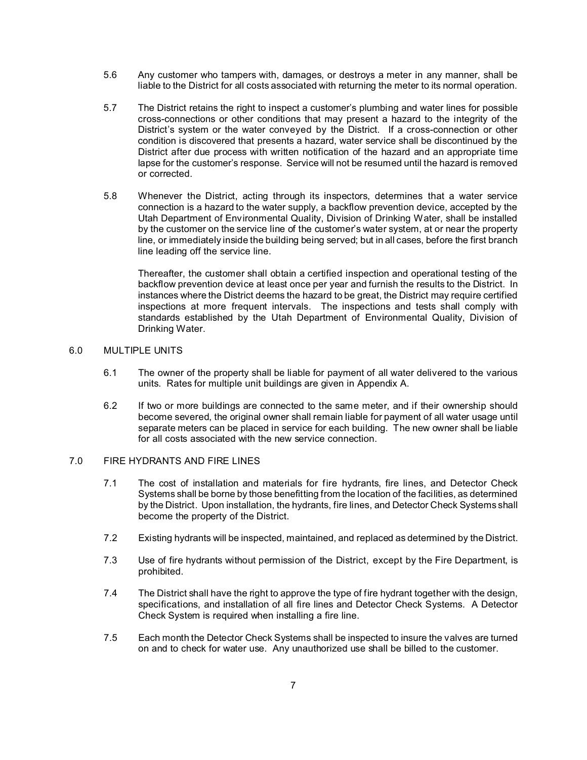- 5.6 Any customer who tampers with, damages, or destroys a meter in any manner, shall be liable to the District for all costs associated with returning the meter to its normal operation.
- 5.7 The District retains the right to inspect a customer's plumbing and water lines for possible cross-connections or other conditions that may present a hazard to the integrity of the District's system or the water conveyed by the District. If a cross-connection or other condition is discovered that presents a hazard, water service shall be discontinued by the District after due process with written notification of the hazard and an appropriate time lapse for the customer's response. Service will not be resumed until the hazard is removed or corrected.
- 5.8 Whenever the District, acting through its inspectors, determines that a water service connection is a hazard to the water supply, a backflow prevention device, accepted by the Utah Department of Environmental Quality, Division of Drinking Water, shall be installed by the customer on the service line of the customer's water system, at or near the property line, or immediately inside the building being served; but in all cases, before the first branch line leading off the service line.

Thereafter, the customer shall obtain a certified inspection and operational testing of the backflow prevention device at least once per year and furnish the results to the District. In instances where the District deems the hazard to be great, the District may require certified inspections at more frequent intervals. The inspections and tests shall comply with standards established by the Utah Department of Environmental Quality, Division of Drinking Water.

## 6.0 MULTIPLE UNITS

- 6.1 The owner of the property shall be liable for payment of all water delivered to the various units. Rates for multiple unit buildings are given in Appendix A.
- 6.2 If two or more buildings are connected to the same meter, and if their ownership should become severed, the original owner shall remain liable for payment of all water usage until separate meters can be placed in service for each building. The new owner shall be liable for all costs associated with the new service connection.

#### 7.0 FIRE HYDRANTS AND FIRE LINES

- 7.1 The cost of installation and materials for fire hydrants, fire lines, and Detector Check Systems shall be borne by those benefitting from the location of the facilities, as determined by the District. Upon installation, the hydrants, fire lines, and Detector Check Systems shall become the property of the District.
- 7.2 Existing hydrants will be inspected, maintained, and replaced as determined by the District.
- 7.3 Use of fire hydrants without permission of the District, except by the Fire Department, is prohibited.
- 7.4 The District shall have the right to approve the type of fire hydrant together with the design, specifications, and installation of all fire lines and Detector Check Systems. A Detector Check System is required when installing a fire line.
- 7.5 Each month the Detector Check Systems shall be inspected to insure the valves are turned on and to check for water use. Any unauthorized use shall be billed to the customer.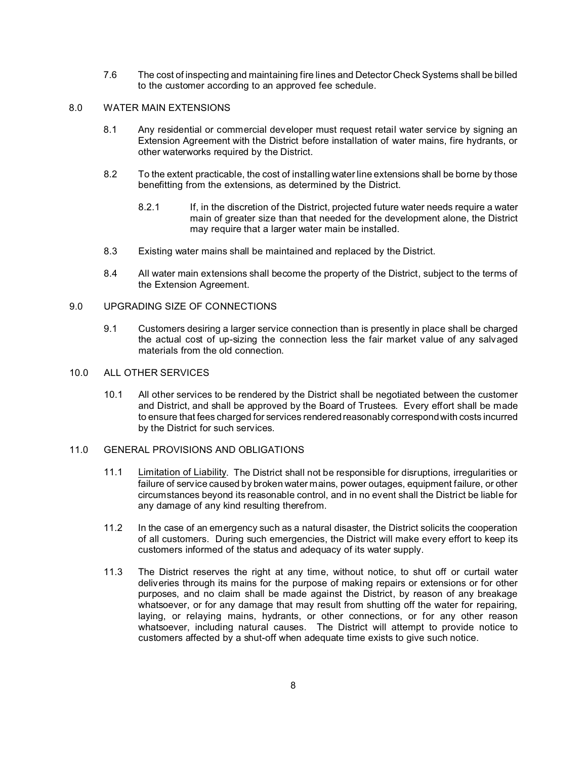7.6 The cost of inspecting and maintaining fire lines and Detector Check Systems shall be billed to the customer according to an approved fee schedule.

#### 8.0 WATER MAIN EXTENSIONS

- 8.1 Any residential or commercial developer must request retail water service by signing an Extension Agreement with the District before installation of water mains, fire hydrants, or other waterworks required by the District.
- 8.2 To the extent practicable, the cost of installing water line extensions shall be borne by those benefitting from the extensions, as determined by the District.
	- 8.2.1 If, in the discretion of the District, projected future water needs require a water main of greater size than that needed for the development alone, the District may require that a larger water main be installed.
- 8.3 Existing water mains shall be maintained and replaced by the District.
- 8.4 All water main extensions shall become the property of the District, subject to the terms of the Extension Agreement.

#### 9.0 UPGRADING SIZE OF CONNECTIONS

9.1 Customers desiring a larger service connection than is presently in place shall be charged the actual cost of up-sizing the connection less the fair market value of any salvaged materials from the old connection.

#### 10.0 ALL OTHER SERVICES

10.1 All other services to be rendered by the District shall be negotiated between the customer and District, and shall be approved by the Board of Trustees. Every effort shall be made to ensure that fees charged for services rendered reasonably correspond with costs incurred by the District for such services.

#### 11.0 GENERAL PROVISIONS AND OBLIGATIONS

- 11.1 Limitation of Liability. The District shall not be responsible for disruptions, irregularities or failure of service caused by broken water mains, power outages, equipment failure, or other circumstances beyond its reasonable control, and in no event shall the District be liable for any damage of any kind resulting therefrom.
- 11.2 In the case of an emergency such as a natural disaster, the District solicits the cooperation of all customers. During such emergencies, the District will make every effort to keep its customers informed of the status and adequacy of its water supply.
- 11.3 The District reserves the right at any time, without notice, to shut off or curtail water deliveries through its mains for the purpose of making repairs or extensions or for other purposes, and no claim shall be made against the District, by reason of any breakage whatsoever, or for any damage that may result from shutting off the water for repairing, laying, or relaying mains, hydrants, or other connections, or for any other reason whatsoever, including natural causes. The District will attempt to provide notice to customers affected by a shut-off when adequate time exists to give such notice.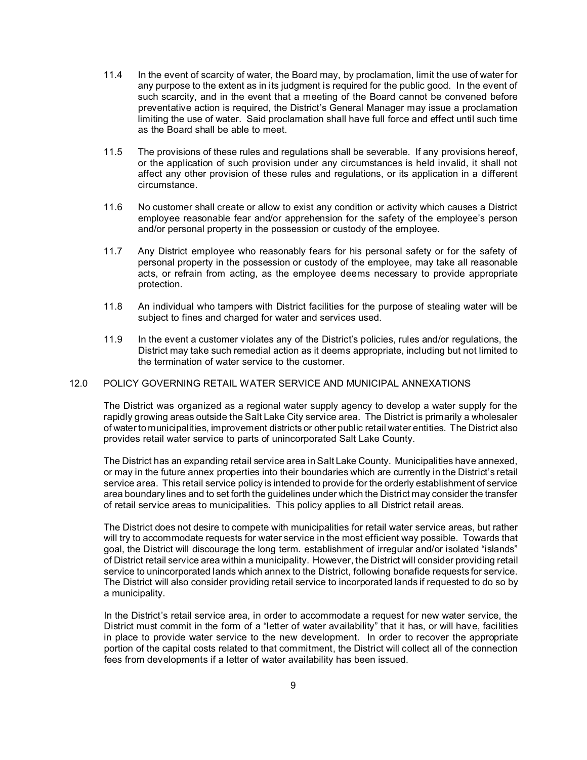- 11.4 In the event of scarcity of water, the Board may, by proclamation, limit the use of water for any purpose to the extent as in its judgment is required for the public good. In the event of such scarcity, and in the event that a meeting of the Board cannot be convened before preventative action is required, the District's General Manager may issue a proclamation limiting the use of water. Said proclamation shall have full force and effect until such time as the Board shall be able to meet.
- 11.5 The provisions of these rules and regulations shall be severable. If any provisions hereof, or the application of such provision under any circumstances is held invalid, it shall not affect any other provision of these rules and regulations, or its application in a different circumstance.
- 11.6 No customer shall create or allow to exist any condition or activity which causes a District employee reasonable fear and/or apprehension for the safety of the employee's person and/or personal property in the possession or custody of the employee.
- 11.7 Any District employee who reasonably fears for his personal safety or for the safety of personal property in the possession or custody of the employee, may take all reasonable acts, or refrain from acting, as the employee deems necessary to provide appropriate protection.
- 11.8 An individual who tampers with District facilities for the purpose of stealing water will be subject to fines and charged for water and services used.
- 11.9 In the event a customer violates any of the District's policies, rules and/or regulations, the District may take such remedial action as it deems appropriate, including but not limited to the termination of water service to the customer.

#### 12.0 POLICY GOVERNING RETAIL WATER SERVICE AND MUNICIPAL ANNEXATIONS

The District was organized as a regional water supply agency to develop a water supply for the rapidly growing areas outside the Salt Lake City service area. The District is primarily a wholesaler of water to municipalities, improvement districts or other public retail water entities. The District also provides retail water service to parts of unincorporated Salt Lake County.

The District has an expanding retail service area in Salt Lake County. Municipalities have annexed, or may in the future annex properties into their boundaries which are currently in the District's retail service area. This retail service policy is intended to provide for the orderly establishment of service area boundary lines and to set forth the guidelines under which the District may consider the transfer of retail service areas to municipalities. This policy applies to all District retail areas.

The District does not desire to compete with municipalities for retail water service areas, but rather will try to accommodate requests for water service in the most efficient way possible. Towards that goal, the District will discourage the long term. establishment of irregular and/or isolated "islands" of District retail service area within a municipality. However, the District will consider providing retail service to unincorporated lands which annex to the District, following bonafide requests for service. The District will also consider providing retail service to incorporated lands if requested to do so by a municipality.

In the District's retail service area, in order to accommodate a request for new water service, the District must commit in the form of a "letter of water availability" that it has, or will have, facilities in place to provide water service to the new development. In order to recover the appropriate portion of the capital costs related to that commitment, the District will collect all of the connection fees from developments if a letter of water availability has been issued.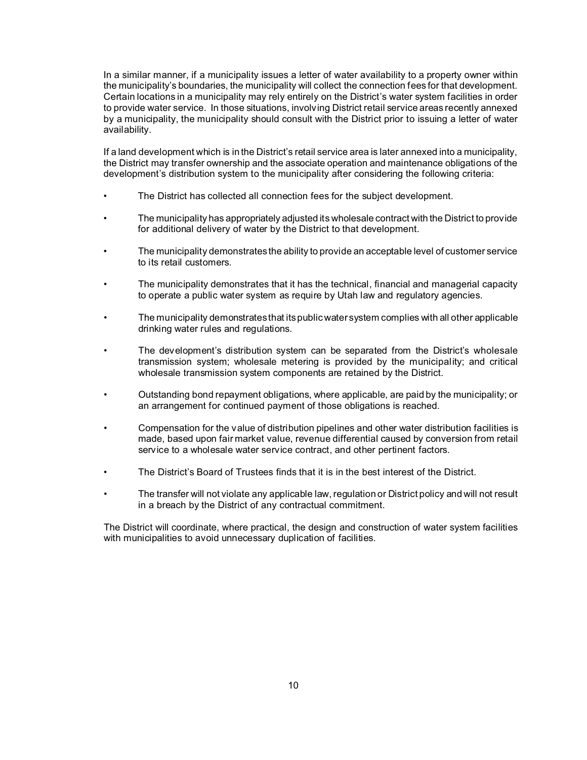In a similar manner, if a municipality issues a letter of water availability to a property owner within the municipality's boundaries, the municipality will collect the connection fees for that development. Certain locations in a municipality may rely entirely on the District's water system facilities in order to provide water service. In those situations, involving District retail service areas recently annexed by a municipality, the municipality should consult with the District prior to issuing a letter of water availability.

If a land development which is in the District's retail service area is later annexed into a municipality, the District may transfer ownership and the associate operation and maintenance obligations of the development's distribution system to the municipality after considering the following criteria:

- The District has collected all connection fees for the subject development.
- The municipality has appropriately adjusted its wholesale contract with the District to provide for additional delivery of water by the District to that development.
- The municipality demonstrates the ability to provide an acceptable level of customer service to its retail customers.
- The municipality demonstrates that it has the technical, financial and managerial capacity to operate a public water system as require by Utah law and regulatory agencies.
- The municipality demonstrates that its public water system complies with all other applicable drinking water rules and regulations.
- The development's distribution system can be separated from the District's wholesale transmission system; wholesale metering is provided by the municipality; and critical wholesale transmission system components are retained by the District.
- Outstanding bond repayment obligations, where applicable, are paid by the municipality; or an arrangement for continued payment of those obligations is reached.
- Compensation for the value of distribution pipelines and other water distribution facilities is made, based upon fair market value, revenue differential caused by conversion from retail service to a wholesale water service contract, and other pertinent factors.
- The District's Board of Trustees finds that it is in the best interest of the District.
- The transfer will not violate any applicable law, regulation or District policy and will not result in a breach by the District of any contractual commitment.

The District will coordinate, where practical, the design and construction of water system facilities with municipalities to avoid unnecessary duplication of facilities.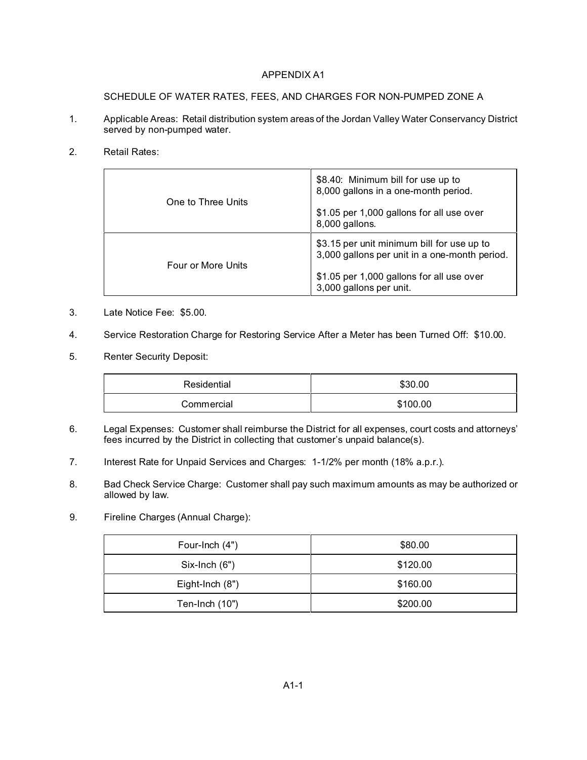## APPENDIX A1

SCHEDULE OF WATER RATES, FEES, AND CHARGES FOR NON-PUMPED ZONE A

- 1. Applicable Areas: Retail distribution system areas of the Jordan Valley Water Conservancy District served by non-pumped water.
- 2. Retail Rates:

| One to Three Units | \$8.40: Minimum bill for use up to<br>8,000 gallons in a one-month period.<br>\$1.05 per 1,000 gallons for all use over<br>8,000 gallons.                           |
|--------------------|---------------------------------------------------------------------------------------------------------------------------------------------------------------------|
| Four or More Units | \$3.15 per unit minimum bill for use up to<br>3,000 gallons per unit in a one-month period.<br>\$1.05 per 1,000 gallons for all use over<br>3,000 gallons per unit. |

- 3. Late Notice Fee: \$5.00.
- 4. Service Restoration Charge for Restoring Service After a Meter has been Turned Off: \$10.00.
- 5. Renter Security Deposit:

| Residential | \$30.00  |  |
|-------------|----------|--|
| Commercial  | \$100.00 |  |

- 6. Legal Expenses: Customer shall reimburse the District for all expenses, court costs and attorneys' fees incurred by the District in collecting that customer's unpaid balance(s).
- 7. Interest Rate for Unpaid Services and Charges: 1-1/2% per month (18% a.p.r.).
- 8. Bad Check Service Charge: Customer shall pay such maximum amounts as may be authorized or allowed by law.
- 9. Fireline Charges (Annual Charge):

| Four-Inch (4")  | \$80.00  |  |
|-----------------|----------|--|
| $Six-Inch (6")$ | \$120.00 |  |
| Eight-Inch (8") | \$160.00 |  |
| Ten-Inch (10")  | \$200.00 |  |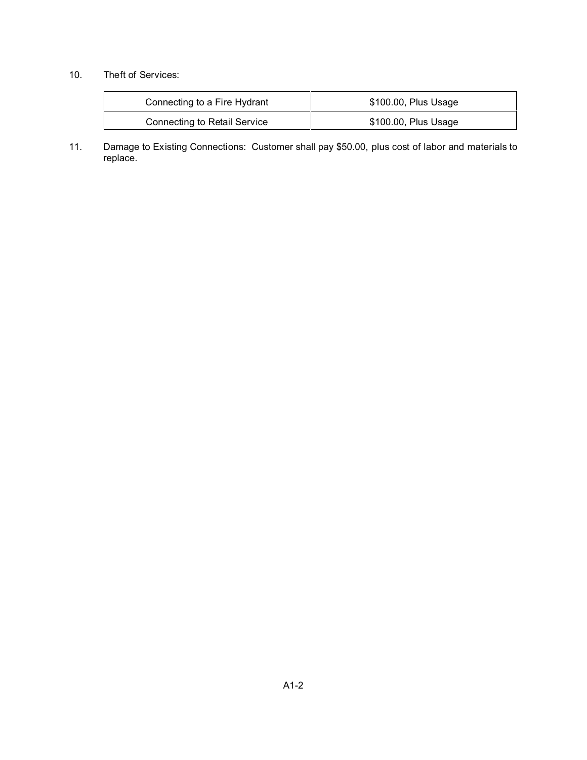# 10. Theft of Services:

| Connecting to a Fire Hydrant        | \$100.00, Plus Usage |  |
|-------------------------------------|----------------------|--|
| <b>Connecting to Retail Service</b> | \$100.00, Plus Usage |  |

11. Damage to Existing Connections: Customer shall pay \$50.00, plus cost of labor and materials to replace.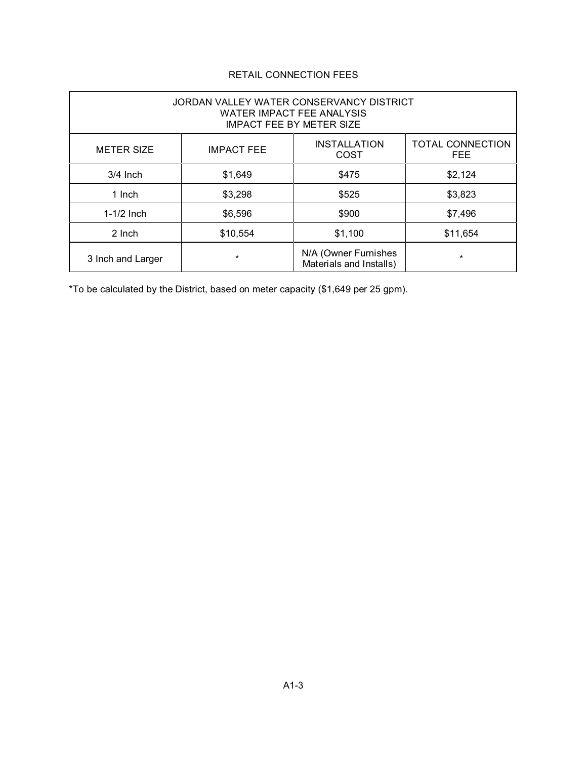# RETAIL CONNECTION FEES

| JORDAN VALLEY WATER CONSERVANCY DISTRICT<br><b>WATER IMPACT FEE ANALYSIS</b><br><b>IMPACT FEE BY METER SIZE</b> |                   |                                                 |                                       |  |
|-----------------------------------------------------------------------------------------------------------------|-------------------|-------------------------------------------------|---------------------------------------|--|
| <b>METER SIZE</b>                                                                                               | <b>IMPACT FEE</b> | <b>INSTALLATION</b><br>COST                     | <b>TOTAL CONNECTION</b><br><b>FEE</b> |  |
| $3/4$ Inch                                                                                                      | \$1,649           | \$475                                           | \$2,124                               |  |
| 1 Inch                                                                                                          | \$3,298           | \$525                                           | \$3,823                               |  |
| $1-1/2$ Inch                                                                                                    | \$6,596           | \$900                                           | \$7,496                               |  |
| 2 Inch                                                                                                          | \$10,554          | \$1,100                                         | \$11,654                              |  |
| 3 Inch and Larger                                                                                               | *                 | N/A (Owner Furnishes<br>Materials and Installs) | $\star$                               |  |

\*To be calculated by the District, based on meter capacity (\$1,649 per 25 gpm).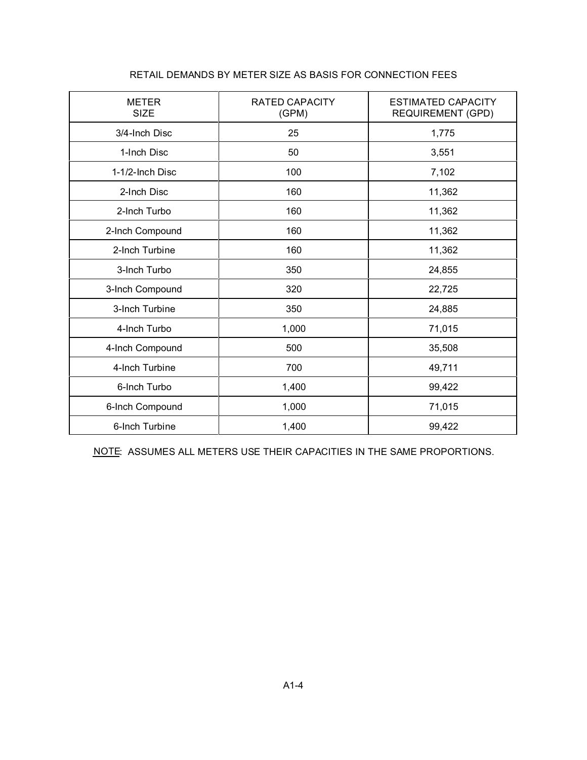| <b>METER</b><br><b>SIZE</b> | <b>RATED CAPACITY</b><br>(GPM) | <b>ESTIMATED CAPACITY</b><br><b>REQUIREMENT (GPD)</b> |  |
|-----------------------------|--------------------------------|-------------------------------------------------------|--|
| 3/4-Inch Disc               | 25                             | 1,775                                                 |  |
| 1-Inch Disc                 | 50                             | 3,551                                                 |  |
| 1-1/2-Inch Disc             | 100                            | 7,102                                                 |  |
| 2-Inch Disc                 | 160                            | 11,362                                                |  |
| 2-Inch Turbo                | 160                            | 11,362                                                |  |
| 2-Inch Compound             | 160                            | 11,362                                                |  |
| 2-Inch Turbine              | 160                            | 11,362                                                |  |
| 3-Inch Turbo                | 350                            | 24,855                                                |  |
| 3-Inch Compound             | 320                            | 22,725                                                |  |
| 3-Inch Turbine              | 350                            | 24,885                                                |  |
| 4-Inch Turbo                | 1,000                          | 71,015                                                |  |
| 4-Inch Compound             | 500                            | 35,508                                                |  |
| 4-Inch Turbine              | 700                            | 49,711                                                |  |
| 6-Inch Turbo                | 1,400                          | 99,422                                                |  |
| 6-Inch Compound             | 1,000                          | 71,015                                                |  |
| 6-Inch Turbine              | 1,400                          | 99,422                                                |  |

# RETAIL DEMANDS BY METER SIZE AS BASIS FOR CONNECTION FEES

NOTE: ASSUMES ALL METERS USE THEIR CAPACITIES IN THE SAME PROPORTIONS.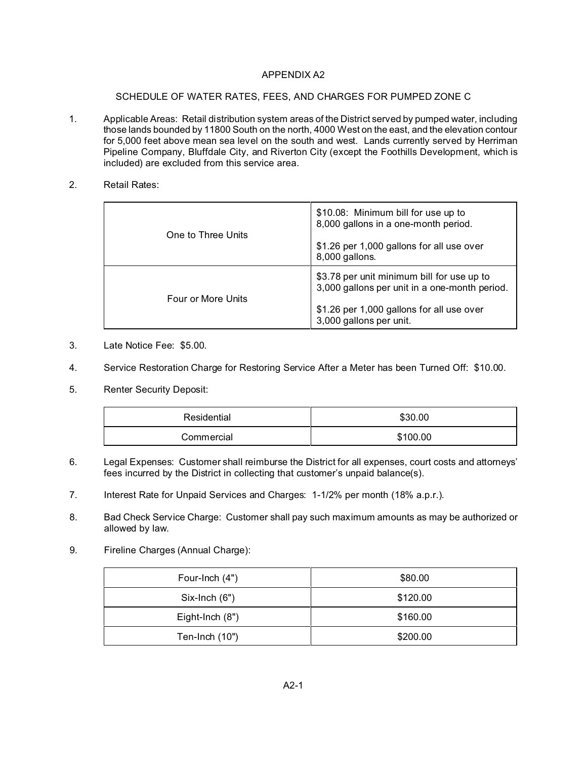## APPENDIX A2

## SCHEDULE OF WATER RATES, FEES, AND CHARGES FOR PUMPED ZONE C

- 1. Applicable Areas: Retail distribution system areas of the District served by pumped water, including those lands bounded by 11800 South on the north, 4000 West on the east, and the elevation contour for 5,000 feet above mean sea level on the south and west. Lands currently served by Herriman Pipeline Company, Bluffdale City, and Riverton City (except the Foothills Development, which is included) are excluded from this service area.
- 2. Retail Rates:

| One to Three Units | \$10.08: Minimum bill for use up to<br>8,000 gallons in a one-month period.                 |  |
|--------------------|---------------------------------------------------------------------------------------------|--|
|                    | \$1.26 per 1,000 gallons for all use over<br>8,000 gallons.                                 |  |
| Four or More Units | \$3.78 per unit minimum bill for use up to<br>3,000 gallons per unit in a one-month period. |  |
|                    | \$1.26 per 1,000 gallons for all use over<br>3,000 gallons per unit.                        |  |

- 3. Late Notice Fee: \$5.00.
- 4. Service Restoration Charge for Restoring Service After a Meter has been Turned Off: \$10.00.
- 5. Renter Security Deposit:

| Residential | \$30.00  |  |
|-------------|----------|--|
| Commercial  | \$100.00 |  |

- 6. Legal Expenses: Customer shall reimburse the District for all expenses, court costs and attorneys' fees incurred by the District in collecting that customer's unpaid balance(s).
- 7. Interest Rate for Unpaid Services and Charges: 1-1/2% per month (18% a.p.r.).
- 8. Bad Check Service Charge: Customer shall pay such maximum amounts as may be authorized or allowed by law.
- 9. Fireline Charges (Annual Charge):

| Four-Inch (4")  | \$80.00  |  |
|-----------------|----------|--|
| $Six-Inch (6")$ | \$120.00 |  |
| Eight-Inch (8") | \$160.00 |  |
| Ten-Inch (10")  | \$200.00 |  |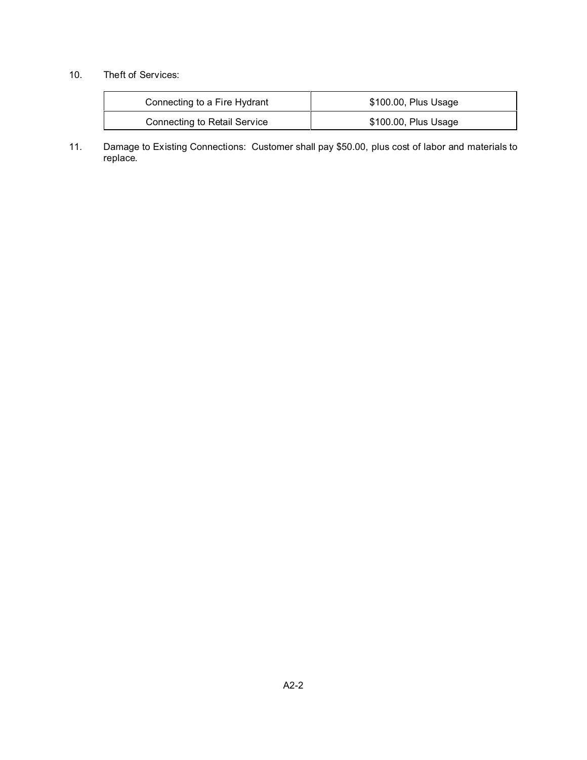# 10. Theft of Services:

| Connecting to a Fire Hydrant        | \$100.00, Plus Usage |  |
|-------------------------------------|----------------------|--|
| <b>Connecting to Retail Service</b> | \$100.00, Plus Usage |  |

11. Damage to Existing Connections: Customer shall pay \$50.00, plus cost of labor and materials to replace.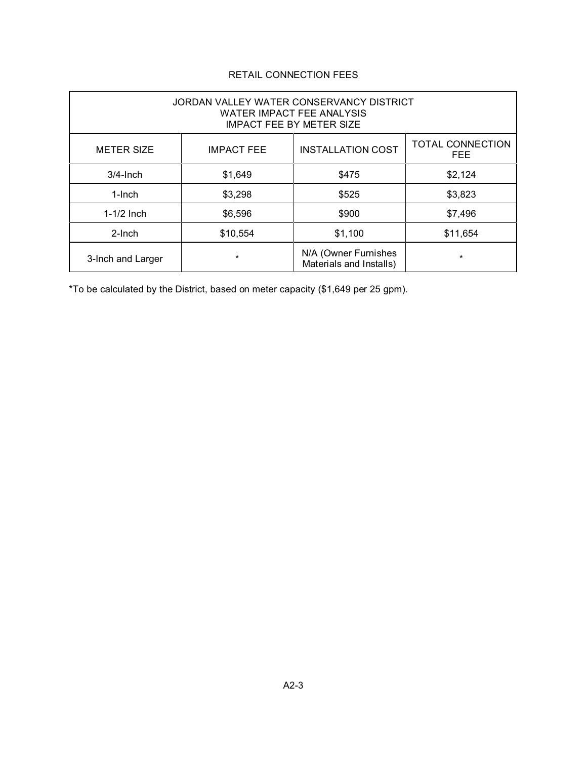# RETAIL CONNECTION FEES

| JORDAN VALLEY WATER CONSERVANCY DISTRICT<br><b>WATER IMPACT FEE ANALYSIS</b><br><b>IMPACT FEE BY METER SIZE</b> |                   |                                                 |                                       |  |
|-----------------------------------------------------------------------------------------------------------------|-------------------|-------------------------------------------------|---------------------------------------|--|
| <b>METER SIZE</b>                                                                                               | <b>IMPACT FEE</b> | <b>INSTALLATION COST</b>                        | <b>TOTAL CONNECTION</b><br><b>FEE</b> |  |
| $3/4$ -Inch                                                                                                     | \$1,649           | \$475                                           | \$2,124                               |  |
| $1$ -Inch                                                                                                       | \$3,298           | \$525                                           | \$3,823                               |  |
| $1-1/2$ Inch                                                                                                    | \$6,596           | \$900                                           | \$7,496                               |  |
| $2$ -Inch                                                                                                       | \$10,554          | \$1,100                                         | \$11,654                              |  |
| 3-Inch and Larger                                                                                               | *                 | N/A (Owner Furnishes<br>Materials and Installs) | $\star$                               |  |

\*To be calculated by the District, based on meter capacity (\$1,649 per 25 gpm).